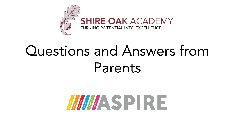

## Questions and Answers from Parents

# MASPIRE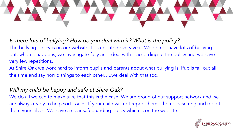

Is there lots of bullying? How do you deal with it? What is the policy? The bullying policy is on our website. It is updated every year. We do not have lots of bullying but, when it happens, we investigate fully and deal with it according to the policy and we have very few repetitions.

At Shire Oak we work hard to inform pupils and parents about what bullying is. Pupils fall out all the time and say horrid things to each other…..we deal with that too.

### Will my child be happy and safe at Shire Oak?

We do all we can to make sure that this is the case. We are proud of our support network and we are always ready to help sort issues. If your child will not report them...then please ring and report them yourselves. We have a clear safeguarding policy which is on the website.

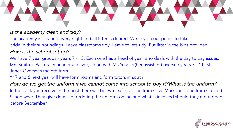#### Is the academy clean and tidy?

The academy is cleaned every night and all litter is cleared. We rely on our pupils to take pride in their surroundings. Leave classrooms tidy. Leave toilets tidy. Put litter in the bins provided. How is the school set up?

We have 7 year groups - years 7 - 13. Each one has a head of year who deals with the day to day issues. Mrs Smith is Pastoral manager and she, along with Ms Youster(her assistant) oversee years 7 - 11. Mr Jones Oversees the 6th form.

#### Yr 7 and 8 next year will have form rooms and form tutors in south

How do we get the uniform if we cannot come into school to buy it?What is the uniform? In the pack you receive in the post there will be two leaflets - one from Clive Marks and one from Crested Schoolwear. They give details of ordering the uniform online and what is involved should they not reopen before September.

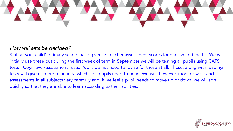

#### How will sets be decided?

Staff at your child's primary school have given us teacher assessment scores for english and maths. We will initially use these but during the first week of term in September we will be testing all pupils using CATS tests - Cognitive Assessment Tests. Pupils do not need to revise for these at all. These, along with reading tests will give us more of an idea which sets pupils need to be in. We will, however, monitor work and assessments in all subjects very carefully and, if we feel a pupil needs to move up or down..we will sort quickly so that they are able to learn according to their abilities.

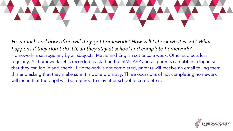

How much and how often will they get homework? How will I check what is set? What happens if they don't do it?Can they stay at school and complete homework? Homework is set regularly by all subjects. Maths and English set once a week. Other subjects less regularly. All homework set is recorded by staff on the SIMs APP and all parents can obtain a log in so that they can log in and check. If Homework is not completed, parents will receive an email telling them this and asking that they make sure it is done promptly. Three occasions of not completing homework will mean that the pupil will be required to stay after school to complete it.

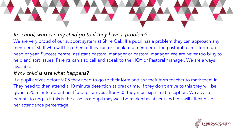

#### In school, who can my child go to if they have a problem?

We are very proud of our support system at Shire Oak. If a pupil has a problem they can approach any member of staff who will help them if they can or speak to a member of the pastoral team - form tutor, head of year, Success centre, assistant pastoral manager or pastoral manager. We are never too busy to help and sort issues. Parents can also call and speak to the HOY or Pastoral manager. We are always available.

#### If my child is late what happens?

If a pupil arrives before 9.05 they need to go to their form and ask their form teacher to mark them in. They need to then attend a 10 minute detention at break time. If they don't arrive to this they will be given a 20 minute detention. If a pupil arrives after 9.05 they must sign in at reception. We advise parents to ring in if this is the case as a pupil may well be marked as absent and this will affect his or her attendance percentage.

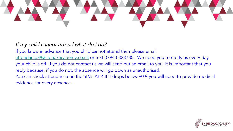

If my child cannot attend what do I do?

If you know in advance that you child cannot attend then please email [attendance@shireoakacademy.co.uk](mailto:attendance@shireoakacademy.co.uk) or text 07943 823785. We need you to notify us every day your child is off. If you do not contact us we will send out an email to you. It is important that you reply because, if you do not, the absence will go down as unauthorised. You can check attendance on the SIMs APP. If it drops below 90% you will need to provide medical evidence for every absence..